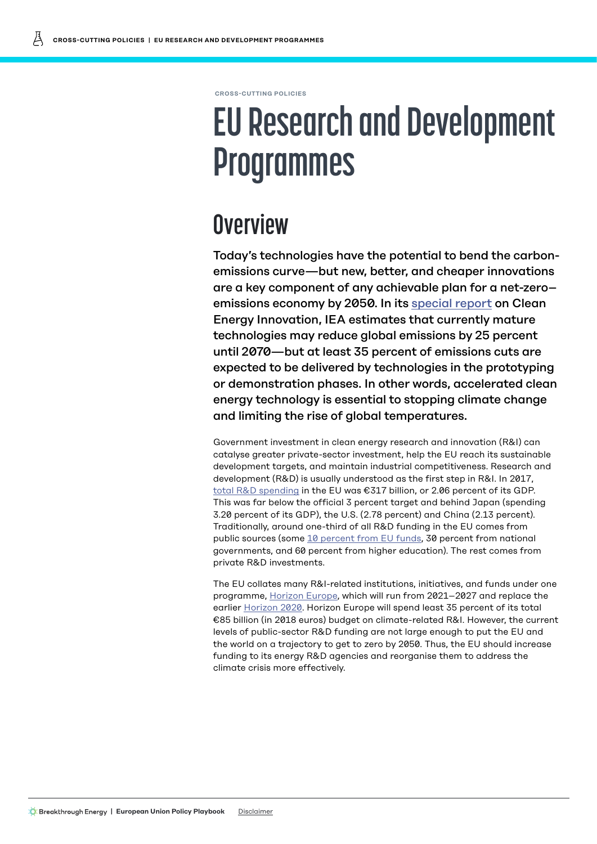**CROSS-CUTTING POLICIES**

# **EU Research and Development Programmes**

## **Overview**

Today's technologies have the potential to bend the carbonemissions curve—but new, better, and cheaper innovations are a key component of any achievable plan for a net-zero– emissions economy by 2050. In its [special report](https://www.iea.org/reports/clean-energy-innovation) on Clean Energy Innovation, IEA estimates that currently mature technologies may reduce global emissions by 25 percent until 2070—but at least 35 percent of emissions cuts are expected to be delivered by technologies in the prototyping or demonstration phases. In other words, accelerated clean energy technology is essential to stopping climate change and limiting the rise of global temperatures.

Government investment in clean energy research and innovation (R&I) can catalyse greater private-sector investment, help the EU reach its sustainable development targets, and maintain industrial competitiveness. Research and development (R&D) is usually understood as the first step in R&I. In 2017, [total R&D spending](https://ec.europa.eu/eurostat/statistics-explained/index.php/R_%26_D_expenditure) in the EU was €317 billion, or 2.06 percent of its GDP. This was far below the official 3 percent target and behind Japan (spending 3.20 percent of its GDP), the U.S. (2.78 percent) and China (2.13 percent). Traditionally, around one-third of all R&D funding in the EU comes from public sources (some [10 percent from EU funds](https://europeanclimate.org/wp-content/uploads/2019/11/10-2018-funding-innovation-to-deliver-eu-competitive-climate-leadership.pdf), 30 percent from national governments, and 60 percent from higher education). The rest comes from private R&D investments.

The EU collates many R&I-related institutions, initiatives, and funds under one programme, [Horizon Europe,](https://ec.europa.eu/info/horizon-europe-next-research-and-innovation-framework-programme_en) which will run from 2021–2027 and replace the earlier [Horizon 2020](https://ec.europa.eu/programmes/horizon2020/en). Horizon Europe will spend least 35 percent of its total €85 billion (in 2018 euros) budget on climate-related R&I. However, the current levels of public-sector R&D funding are not large enough to put the EU and the world on a trajectory to get to zero by 2050. Thus, the EU should increase funding to its energy R&D agencies and reorganise them to address the climate crisis more effectively.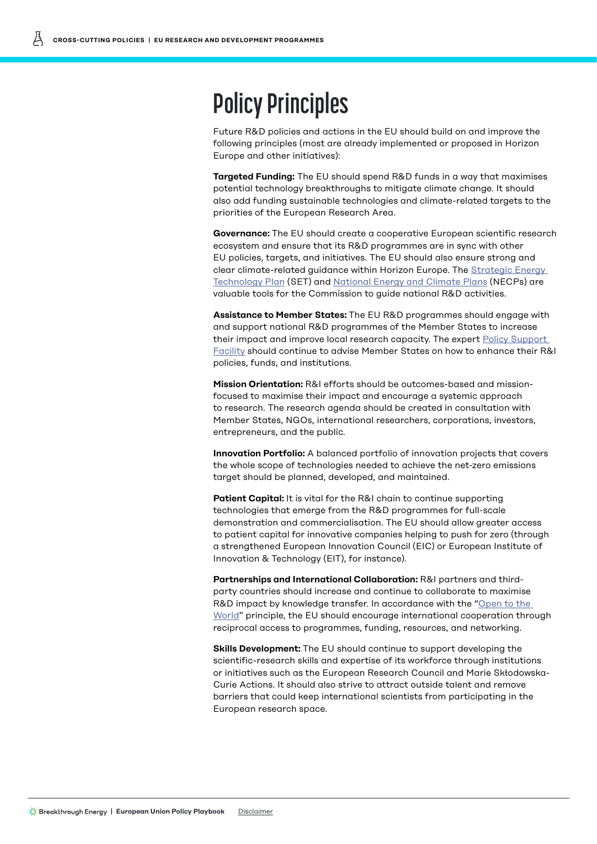### **Policy Principles**

Future R&D policies and actions in the EU should build on and improve the following principles (most are already implemented or proposed in Horizon Europe and other initiatives):

**Targeted Funding:** The EU should spend R&D funds in a way that maximises potential technology breakthroughs to mitigate climate change. It should also add funding sustainable technologies and climate-related targets to the priorities of the European Research Area.

**Governance:** The EU should create a cooperative European scientific research ecosystem and ensure that its R&D programmes are in sync with other EU policies, targets, and initiatives. The EU should also ensure strong and clear climate-related guidance within Horizon Europe. The [Strategic Energy](https://ec.europa.eu/energy/topics/technology-and-innovation/strategic-energy-technology-plan_en)  [Technology Plan](https://ec.europa.eu/energy/topics/technology-and-innovation/strategic-energy-technology-plan_en) (SET) and [National Energy and Climate Plans](https://ec.europa.eu/energy/topics/energy-strategy/national-energy-climate-plans_en) (NECPs) are valuable tools for the Commission to guide national R&D activities.

**Assistance to Member States:** The EU R&D programmes should engage with and support national R&D programmes of the Member States to increase their impact and improve local research capacity. The expert [Policy Support](https://rio.jrc.ec.europa.eu/policy-support-facility)  [Facility](https://rio.jrc.ec.europa.eu/policy-support-facility) should continue to advise Member States on how to enhance their R&I policies, funds, and institutions.

**Mission Orientation:** R&I efforts should be outcomes-based and missionfocused to maximise their impact and encourage a systemic approach to research. The research agenda should be created in consultation with Member States, NGOs, international researchers, corporations, investors, entrepreneurs, and the public.

**Innovation Portfolio:** A balanced portfolio of innovation projects that covers the whole scope of technologies needed to achieve the net-zero emissions target should be planned, developed, and maintained.

**Patient Capital:** It is vital for the R&I chain to continue supporting technologies that emerge from the R&D programmes for full-scale demonstration and commercialisation. The EU should allow greater access to patient capital for innovative companies helping to push for zero (through a strengthened European Innovation Council (EIC) or European Institute of Innovation & Technology (EIT), for instance).

**Partnerships and International Collaboration:** R&I partners and thirdparty countries should increase and continue to collaborate to maximise R&D impact by knowledge transfer. In accordance with the "Open to the [World"](https://ec.europa.eu/research/iscp/index.cfm?pg=policy) principle, the EU should encourage international cooperation through reciprocal access to programmes, funding, resources, and networking.

**Skills Development:** The EU should continue to support developing the scientific-research skills and expertise of its workforce through institutions or initiatives such as the European Research Council and Marie Skłodowska-Curie Actions. It should also strive to attract outside talent and remove barriers that could keep international scientists from participating in the European research space.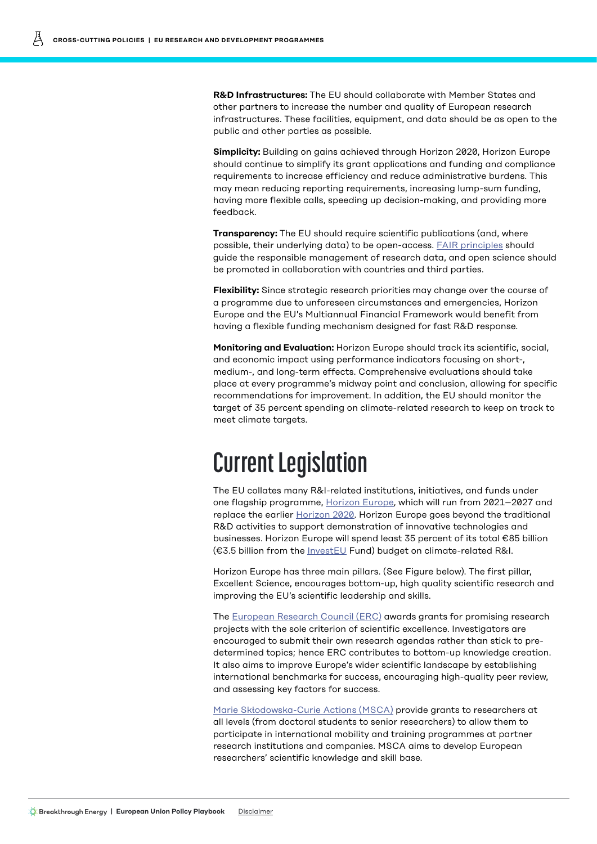**R&D Infrastructures:** The EU should collaborate with Member States and other partners to increase the number and quality of European research infrastructures. These facilities, equipment, and data should be as open to the public and other parties as possible.

**Simplicity:** Building on gains achieved through Horizon 2020, Horizon Europe should continue to simplify its grant applications and funding and compliance requirements to increase efficiency and reduce administrative burdens. This may mean reducing reporting requirements, increasing lump-sum funding, having more flexible calls, speeding up decision-making, and providing more feedback.

**Transparency:** The EU should require scientific publications (and, where possible, their underlying data) to be open-access. **FAIR principles** should guide the responsible management of research data, and open science should be promoted in collaboration with countries and third parties.

**Flexibility:** Since strategic research priorities may change over the course of a programme due to unforeseen circumstances and emergencies, Horizon Europe and the EU's Multiannual Financial Framework would benefit from having a flexible funding mechanism designed for fast R&D response.

**Monitoring and Evaluation:** Horizon Europe should track its scientific, social, and economic impact using performance indicators focusing on short-, medium-, and long-term effects. Comprehensive evaluations should take place at every programme's midway point and conclusion, allowing for specific recommendations for improvement. In addition, the EU should monitor the target of 35 percent spending on climate-related research to keep on track to meet climate targets.

### **Current Legislation**

The EU collates many R&I-related institutions, initiatives, and funds under one flagship programme, [Horizon Europe,](https://ec.europa.eu/info/horizon-europe-next-research-and-innovation-framework-programme_en) which will run from 2021–2027 and replace the earlier [Horizon 2020](https://ec.europa.eu/programmes/horizon2020/en). Horizon Europe goes beyond the traditional R&D activities to support demonstration of innovative technologies and businesses. Horizon Europe will spend least 35 percent of its total €85 billion (€3.5 billion from the [InvestEU](https://europa.eu/investeu/home_en) Fund) budget on climate-related R&I.

Horizon Europe has three main pillars. (See Figure below). The first pillar, Excellent Science, encourages bottom-up, high quality scientific research and improving the EU's scientific leadership and skills.

The [European Research Council \(ERC\)](https://erc.europa.eu/projects-figures/facts-and-figures) awards grants for promising research projects with the sole criterion of scientific excellence. Investigators are encouraged to submit their own research agendas rather than stick to predetermined topics; hence ERC contributes to bottom-up knowledge creation. It also aims to improve Europe's wider scientific landscape by establishing international benchmarks for success, encouraging high-quality peer review, and assessing key factors for success.

[Marie Skłodowska-Curie Actions \(MSCA\)](https://ec.europa.eu/programmes/horizon2020/en/h2020-section/marie-sklodowska-curie-actions) provide grants to researchers at all levels (from doctoral students to senior researchers) to allow them to participate in international mobility and training programmes at partner research institutions and companies. MSCA aims to develop European researchers' scientific knowledge and skill base.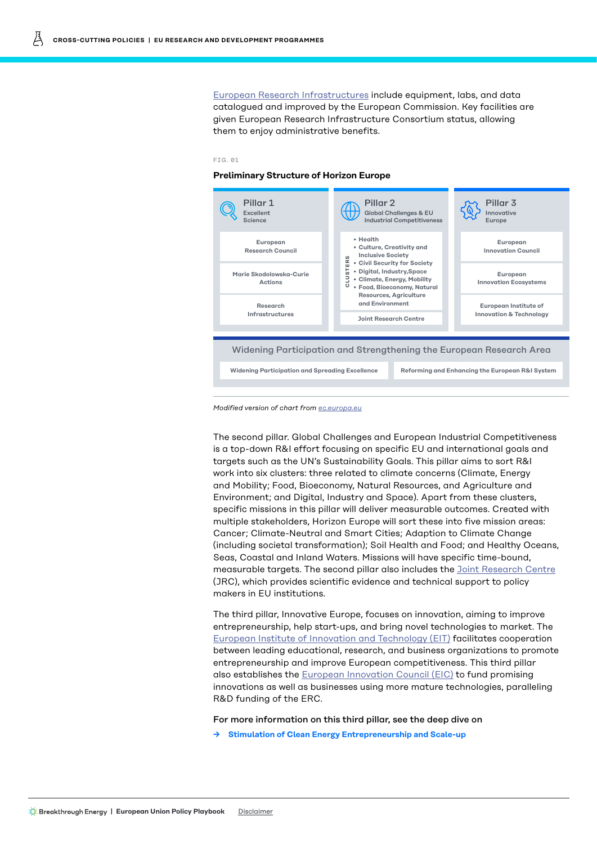[European Research Infrastructures](https://ec.europa.eu/info/research-and-innovation/strategy/european-research-infrastructures_en) include equipment, labs, and data catalogued and improved by the European Commission. Key facilities are given European Research Infrastructure Consortium status, allowing them to enjoy administrative benefits.

#### FIG. 01

#### **Preliminary Structure of Horizon Europe**



*Modified version of chart from [ec.europa.eu](http://ec.europa.eu)*

The second pillar. Global Challenges and European Industrial Competitiveness is a top-down R&I effort focusing on specific EU and international goals and targets such as the UN's Sustainability Goals. This pillar aims to sort R&I work into six clusters: three related to climate concerns (Climate, Energy and Mobility; Food, Bioeconomy, Natural Resources, and Agriculture and Environment; and Digital, Industry and Space). Apart from these clusters, specific missions in this pillar will deliver measurable outcomes. Created with multiple stakeholders, Horizon Europe will sort these into five mission areas: Cancer; Climate-Neutral and Smart Cities; Adaption to Climate Change (including societal transformation); Soil Health and Food; and Healthy Oceans, Seas, Coastal and Inland Waters. Missions will have specific time-bound, measurable targets. The second pillar also includes the [Joint Research Centre](https://ec.europa.eu/jrc/en/about/jrc-in-brief) (JRC), which provides scientific evidence and technical support to policy makers in EU institutions.

The third pillar, Innovative Europe, focuses on innovation, aiming to improve entrepreneurship, help start-ups, and bring novel technologies to market. The [European Institute of Innovation and Technology \(EIT\)](https://eit.europa.eu/who-we-are/eit-glance/mission) facilitates cooperation between leading educational, research, and business organizations to promote entrepreneurship and improve European competitiveness. This third pillar also establishes the [European Innovation Council \(EIC\)](https://ec.europa.eu/research/eic/index.cfm) to fund promising innovations as well as businesses using more mature technologies, paralleling R&D funding of the ERC.

For more information on this third pillar, see the deep dive on

**→ [Stimulation of Clean Energy Entrepreneurship and Scale-up](https://www.breakthroughenergy.org/~/Media/Files/BEV/Playbooks/EU/Cross-Cutting/EUCCPStimEntrepreneurship.pdf)**